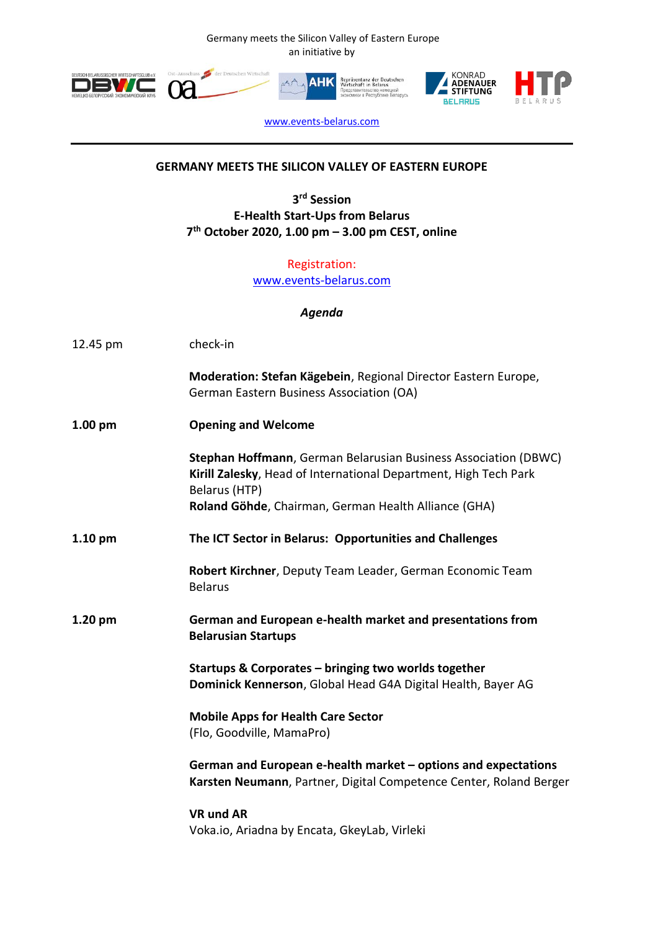Germany meets the Silicon Valley of Eastern Europe an initiative by









[www.events-belarus.com](http://www.events-belarus.com/)

## **GERMANY MEETS THE SILICON VALLEY OF EASTERN EUROPE**

**3 rd Session E-Health Start-Ups from Belarus 7 th October 2020, 1.00 pm – 3.00 pm CEST, online**

> Registration: [www.events-belarus.com](http://www.events-belarus.com/)

> > *Agenda*

| 12.45 pm           | check-in                                                                                                                                                                                                     |
|--------------------|--------------------------------------------------------------------------------------------------------------------------------------------------------------------------------------------------------------|
|                    | Moderation: Stefan Kägebein, Regional Director Eastern Europe,<br>German Eastern Business Association (OA)                                                                                                   |
| 1.00 <sub>pm</sub> | <b>Opening and Welcome</b>                                                                                                                                                                                   |
|                    | Stephan Hoffmann, German Belarusian Business Association (DBWC)<br>Kirill Zalesky, Head of International Department, High Tech Park<br>Belarus (HTP)<br>Roland Göhde, Chairman, German Health Alliance (GHA) |
| $1.10$ pm          | The ICT Sector in Belarus: Opportunities and Challenges                                                                                                                                                      |
|                    | Robert Kirchner, Deputy Team Leader, German Economic Team<br><b>Belarus</b>                                                                                                                                  |
| $1.20$ pm          | German and European e-health market and presentations from<br><b>Belarusian Startups</b>                                                                                                                     |
|                    | Startups & Corporates - bringing two worlds together<br>Dominick Kennerson, Global Head G4A Digital Health, Bayer AG                                                                                         |
|                    | <b>Mobile Apps for Health Care Sector</b><br>(Flo, Goodville, MamaPro)                                                                                                                                       |
|                    | German and European e-health market – options and expectations<br>Karsten Neumann, Partner, Digital Competence Center, Roland Berger                                                                         |
|                    | <b>VR und AR</b>                                                                                                                                                                                             |
|                    | Voka.io, Ariadna by Encata, GkeyLab, Virleki                                                                                                                                                                 |